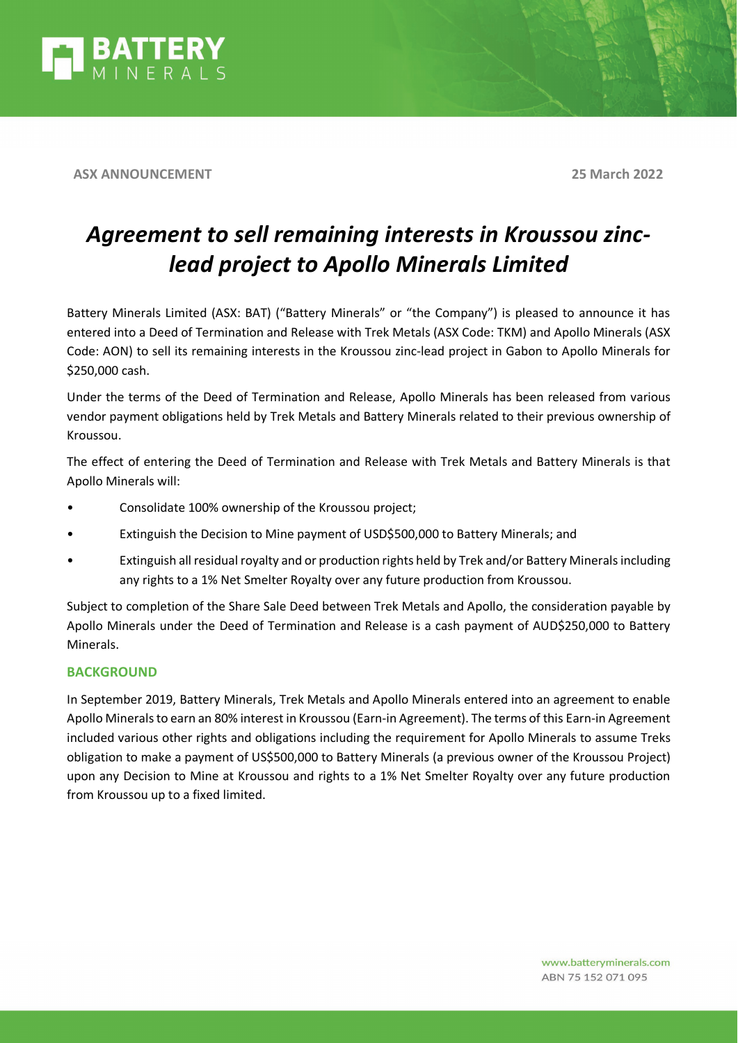

**ASX ANNOUNCEMENT 25 March 2022**

# *Agreement to sell remaining interests in Kroussou zinclead project to Apollo Minerals Limited*

Battery Minerals Limited (ASX: BAT) ("Battery Minerals" or "the Company") is pleased to announce it has entered into a Deed of Termination and Release with Trek Metals (ASX Code: TKM) and Apollo Minerals (ASX Code: AON) to sell its remaining interests in the Kroussou zinc-lead project in Gabon to Apollo Minerals for \$250,000 cash.

Under the terms of the Deed of Termination and Release, Apollo Minerals has been released from various vendor payment obligations held by Trek Metals and Battery Minerals related to their previous ownership of Kroussou.

The effect of entering the Deed of Termination and Release with Trek Metals and Battery Minerals is that Apollo Minerals will:

- Consolidate 100% ownership of the Kroussou project;
- Extinguish the Decision to Mine payment of USD\$500,000 to Battery Minerals; and
- Extinguish all residual royalty and or production rights held by Trek and/or Battery Minerals including any rights to a 1% Net Smelter Royalty over any future production from Kroussou.

Subject to completion of the Share Sale Deed between Trek Metals and Apollo, the consideration payable by Apollo Minerals under the Deed of Termination and Release is a cash payment of AUD\$250,000 to Battery Minerals.

## **BACKGROUND**

In September 2019, Battery Minerals, Trek Metals and Apollo Minerals entered into an agreement to enable Apollo Minerals to earn an 80% interest in Kroussou (Earn-in Agreement). The terms of this Earn-in Agreement included various other rights and obligations including the requirement for Apollo Minerals to assume Treks obligation to make a payment of US\$500,000 to Battery Minerals (a previous owner of the Kroussou Project) upon any Decision to Mine at Kroussou and rights to a 1% Net Smelter Royalty over any future production from Kroussou up to a fixed limited.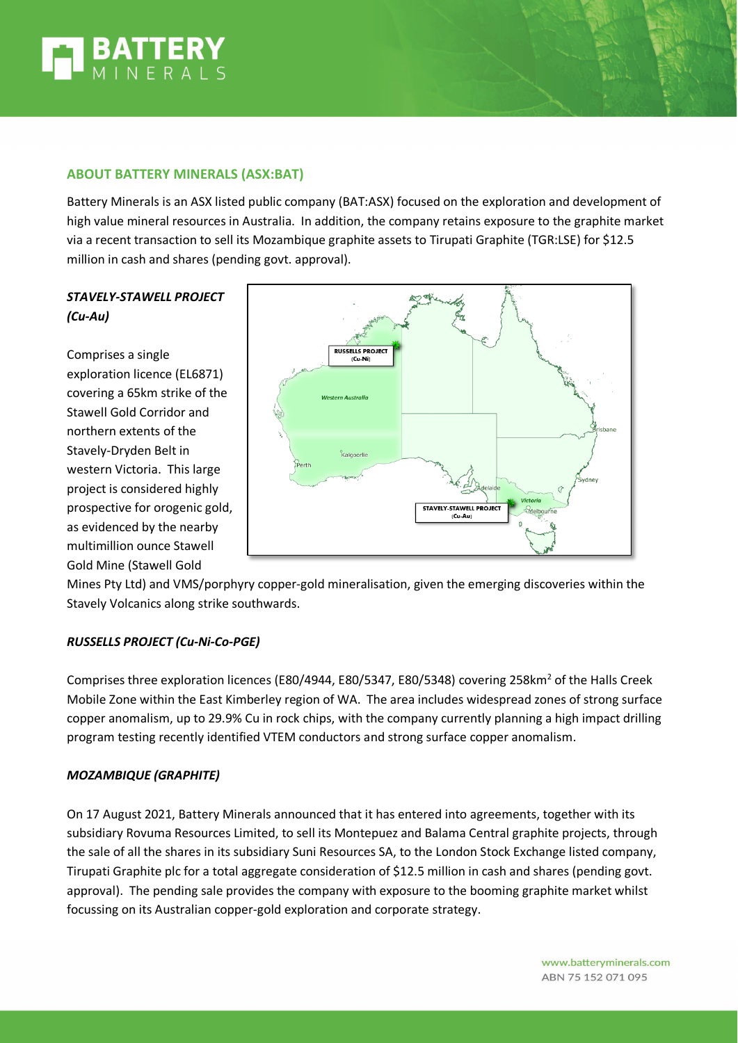

## **ABOUT BATTERY MINERALS (ASX:BAT)**

Battery Minerals is an ASX listed public company (BAT:ASX) focused on the exploration and development of high value mineral resources in Australia. In addition, the company retains exposure to the graphite market via a recent transaction to sell its Mozambique graphite assets to Tirupati Graphite (TGR:LSE) for \$12.5 million in cash and shares (pending govt. approval).

# *STAVELY-STAWELL PROJECT (Cu-Au)*

Comprises a single exploration licence (EL6871) covering a 65km strike of the Stawell Gold Corridor and northern extents of the Stavely-Dryden Belt in western Victoria. This large project is considered highly prospective for orogenic gold, as evidenced by the nearby multimillion ounce Stawell Gold Mine (Stawell Gold



Mines Pty Ltd) and VMS/porphyry copper-gold mineralisation, given the emerging discoveries within the Stavely Volcanics along strike southwards.

## *RUSSELLS PROJECT (Cu-Ni-Co-PGE)*

Comprises three exploration licences (E80/4944, E80/5347, E80/5348) covering 258km<sup>2</sup> of the Halls Creek Mobile Zone within the East Kimberley region of WA. The area includes widespread zones of strong surface copper anomalism, up to 29.9% Cu in rock chips, with the company currently planning a high impact drilling program testing recently identified VTEM conductors and strong surface copper anomalism.

## *MOZAMBIQUE (GRAPHITE)*

On 17 August 2021, Battery Minerals announced that it has entered into agreements, together with its subsidiary Rovuma Resources Limited, to sell its Montepuez and Balama Central graphite projects, through the sale of all the shares in its subsidiary Suni Resources SA, to the London Stock Exchange listed company, Tirupati Graphite plc for a total aggregate consideration of \$12.5 million in cash and shares (pending govt. approval). The pending sale provides the company with exposure to the booming graphite market whilst focussing on its Australian copper-gold exploration and corporate strategy.